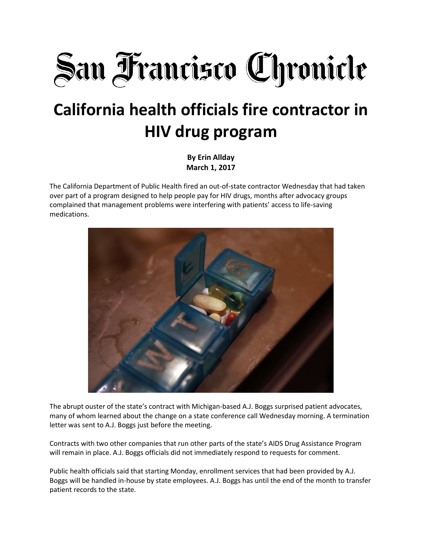

## **California health officials fire contractor in HIV drug program**

**By Erin Allday March 1, 2017**

The California Department of Public Health fired an out-of-state contractor Wednesday that had taken over part of a program designed to help people pay for HIV drugs, months after advocacy groups complained that management problems were interfering with patients' access to life-saving medications.



The abrupt ouster of the state's contract with Michigan-based A.J. Boggs surprised patient advocates, many of whom learned about the change on a state conference call Wednesday morning. A termination letter was sent to A.J. Boggs just before the meeting.

Contracts with two other companies that run other parts of the state's AIDS Drug Assistance Program will remain in place. A.J. Boggs officials did not immediately respond to requests for comment.

Public health officials said that starting Monday, enrollment services that had been provided by A.J. Boggs will be handled in-house by state employees. A.J. Boggs has until the end of the month to transfer patient records to the state.